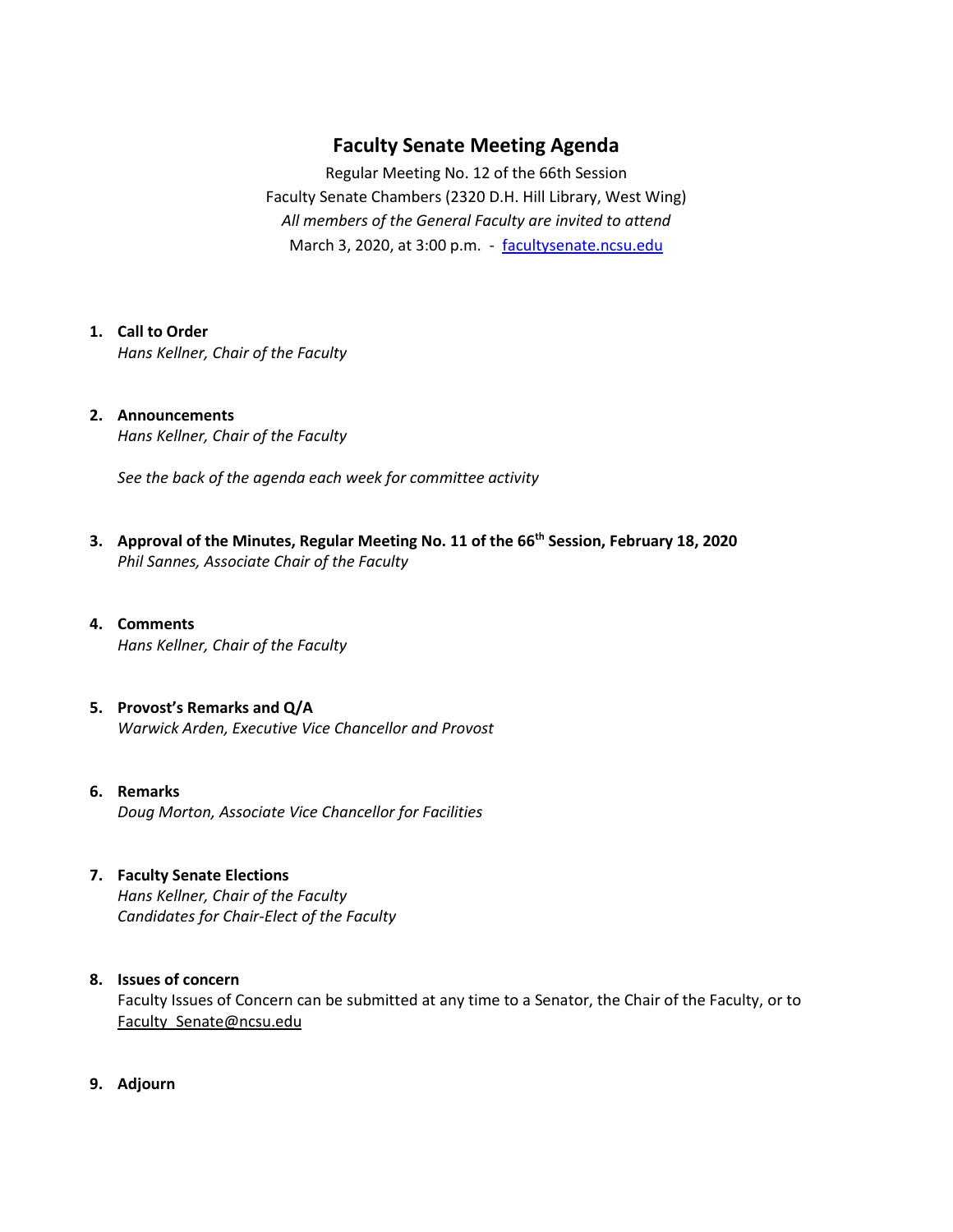# **Faculty Senate Meeting Agenda**

Regular Meeting No. 12 of the 66th Session Faculty Senate Chambers (2320 D.H. Hill Library, West Wing) *All members of the General Faculty are invited to attend* March 3, 2020, at 3:00 p.m. - [facultysenate.ncsu.edu](https://facultysenate.ncsu.edu/)

## **1. Call to Order**

*Hans Kellner, Chair of the Faculty*

### **2. Announcements** *Hans Kellner, Chair of the Faculty*

*See the back of the agenda each week for committee activity* 

- **3. Approval of the Minutes, Regular Meeting No. 11 of the 66th Session, February 18, 2020** *Phil Sannes, Associate Chair of the Faculty*
- **4. Comments** *Hans Kellner, Chair of the Faculty*
- **5. Provost's Remarks and Q/A** *Warwick Arden, Executive Vice Chancellor and Provost*
- **6. Remarks** *Doug Morton, Associate Vice Chancellor for Facilities*

## **7. Faculty Senate Elections**

*Hans Kellner, Chair of the Faculty Candidates for Chair-Elect of the Faculty*

### **8. Issues of concern**

Faculty Issues of Concern can be submitted at any time to a Senator, the Chair of the Faculty, or to Faculty Senate@ncsu.edu

**9. Adjourn**